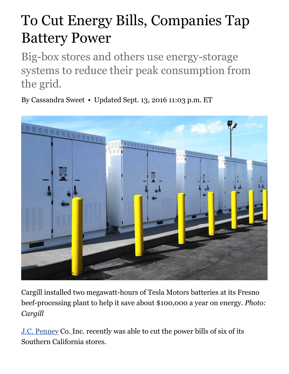## To Cut Energy Bills, Companies Tap Battery Power

Big-box stores and others use energy-storage systems to reduce their peak consumption from the grid.

By Cassandra Sweet • Updated Sept. 13, 2016 11:03 p.m. ET



Cargill installed two megawatt-hours of Tesla Motors batteries at its Fresno beef-processing plant to help it save about \$100,000 a year on energy. *Photo: Cargill*

J.C. Penney Co. Inc. recently was able to cut the power bills of six of its Southern California stores.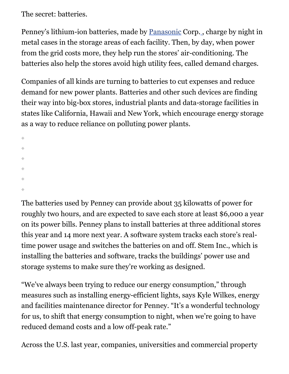The secret: batteries.

Penney's lithium-ion batteries, made by Panasonic Corp. , charge by night in metal cases in the storage areas of each facility. Then, by day, when power from the grid costs more, they help run the stores' air-conditioning. The batteries also help the stores avoid high utility fees, called demand charges.

Companies of all kinds are turning to batteries to cut expenses and reduce demand for new power plants. Batteries and other such devices are finding their way into big-box stores, industrial plants and data-storage facilities in states like California, Hawaii and New York, which encourage energy storage as a way to reduce reliance on polluting power plants.

```
۰
```
The batteries used by Penney can provide about 35 kilowatts of power for roughly two hours, and are expected to save each store at least \$6,000 a year on its power bills. Penney plans to install batteries at three additional stores this year and 14 more next year. A software system tracks each store's realtime power usage and switches the batteries on and off. Stem Inc., which is installing the batteries and software, tracks the buildings' power use and storage systems to make sure they're working as designed.

"We've always been trying to reduce our energy consumption," through measures such as installing energy-efficient lights, says Kyle Wilkes, energy and facilities maintenance director for Penney. "It's a wonderful technology for us, to shift that energy consumption to night, when we're going to have reduced demand costs and a low off-peak rate."

Across the U.S. last year, companies, universities and commercial property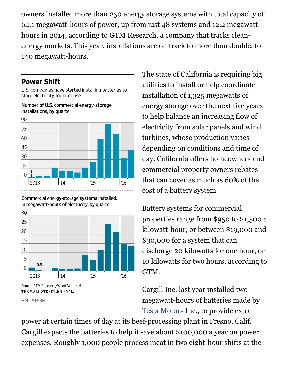owners installed more than 250 energy storage systems with total capacity of 64.1 megawatt-hours of power, up from just 48 systems and 12.2 megawatthours in 2014, according to GTM Research, a company that tracks cleanenergy markets. This year, installations are on track to more than double, to 140 megawatt-hours.

## **Power Shift**

U.S. companies have started installing batteries to store electricity for later use

Number of U.S. commercial energy-storage installations, by quarter



Commercial energy-storage systems installed, in megawatt-hours of electricity, by quarter



THE WALL STREET JOURNAL.

ENLARGE

The state of California is requiring big utilities to install or help coordinate installation of 1,325 megawatts of energy storage over the next five years to help balance an increasing flow of electricity from solar panels and wind turbines, whose production varies depending on conditions and time of day. California offers homeowners and commercial property owners rebates that can cover as much as 60% of the cost of a battery system.

Battery systems for commercial properties range from \$950 to \$1,500 a kilowatt-hour, or between \$19,000 and \$30,000 for a system that can discharge 20 kilowatts for one hour, or 10 kilowatts for two hours, according to GTM.

Cargill Inc. last year installed two megawatt-hours of batteries made by Tesla Motors Inc., to provide extra

power at certain times of day at its beef-processing plant in Fresno, Calif. Cargill expects the batteries to help it save about \$100,000 a year on power expenses. Roughly 1,000 people process meat in two eight-hour shifts at the